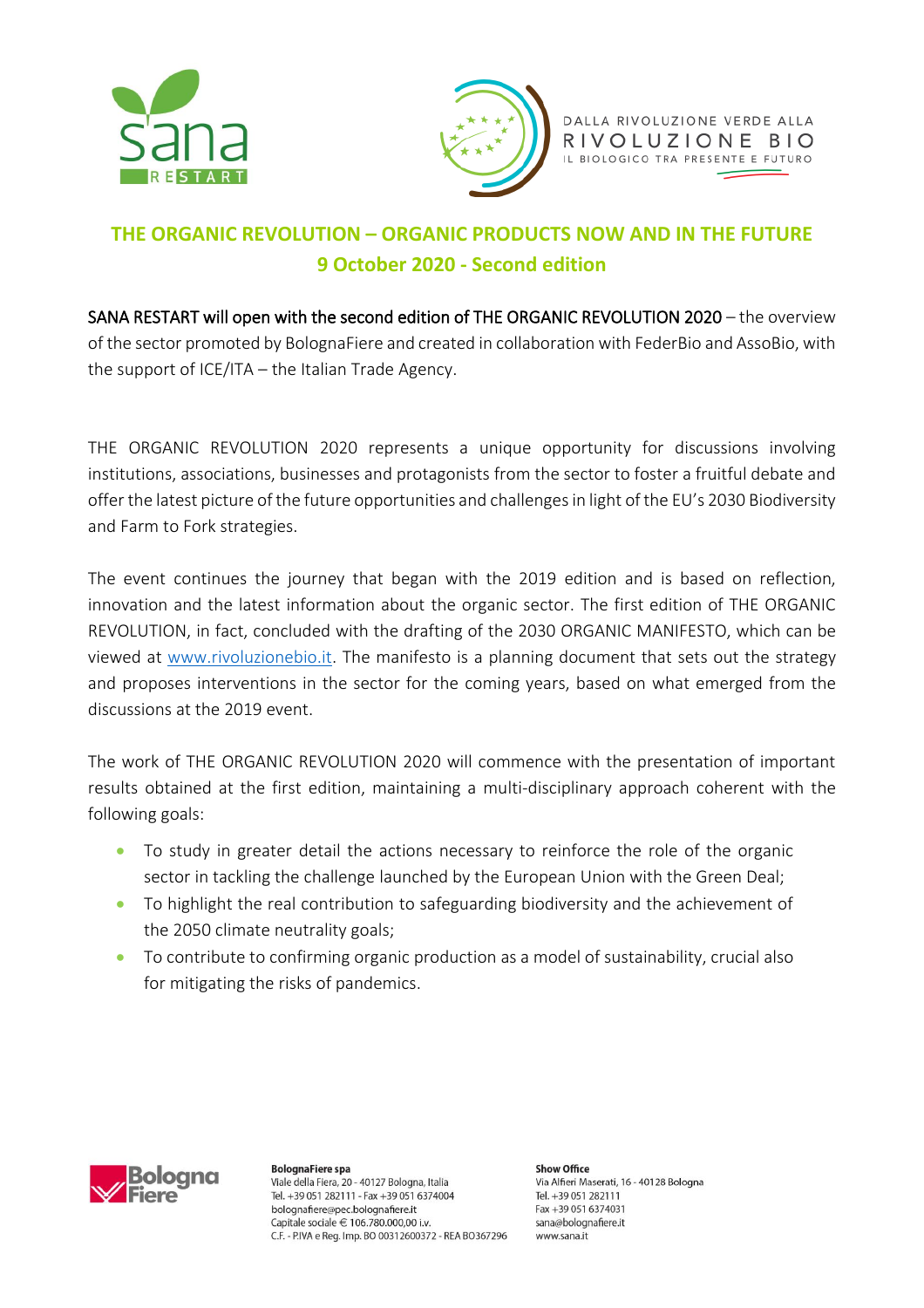



DALLA RIVOLUZIONE VERDE ALLA RIVOLUZIONE BIO IL BIOLOGICO TRA PRESENTE E FUTURO

## **THE ORGANIC REVOLUTION – ORGANIC PRODUCTS NOW AND IN THE FUTURE 9 October 2020 - Second edition**

SANA RESTART will open with the second edition of THE ORGANIC REVOLUTION 2020 – the overview of the sector promoted by BolognaFiere and created in collaboration with FederBio and AssoBio, with the support of ICE/ITA – the Italian Trade Agency.

THE ORGANIC REVOLUTION 2020 represents a unique opportunity for discussions involving institutions, associations, businesses and protagonists from the sector to foster a fruitful debate and offer the latest picture of the future opportunities and challenges in light of the EU's 2030 Biodiversity and Farm to Fork strategies.

The event continues the journey that began with the 2019 edition and is based on reflection, innovation and the latest information about the organic sector. The first edition of THE ORGANIC REVOLUTION, in fact, concluded with the drafting of the 2030 ORGANIC MANIFESTO, which can be viewed at [www.rivoluzionebio.it.](http://www.rivoluzionebio.it/) The manifesto is a planning document that sets out the strategy and proposes interventions in the sector for the coming years, based on what emerged from the discussions at the 2019 event.

The work of THE ORGANIC REVOLUTION 2020 will commence with the presentation of important results obtained at the first edition, maintaining a multi-disciplinary approach coherent with the following goals:

- To study in greater detail the actions necessary to reinforce the role of the organic sector in tackling the challenge launched by the European Union with the Green Deal;
- To highlight the real contribution to safeguarding biodiversity and the achievement of the 2050 climate neutrality goals;
- To contribute to confirming organic production as a model of sustainability, crucial also for mitigating the risks of pandemics.



**BolognaFiere spa** Viale della Fiera, 20 - 40127 Bologna, Italia Tel. +39 051 282111 - Fax +39 051 6374004 bolognafiere@pec.bolognafiere.it Capitale sociale € 106.780.000.00 i.v. C.F. - P.IVA e Reg. Imp. BO 00312600372 - REA BO367296

**Show Office** Via Alfieri Maserati, 16 - 40128 Bologna Tel. +39 051 282111 Fax +39 051 6374031 sana@bolognafiere.it www.sana.it